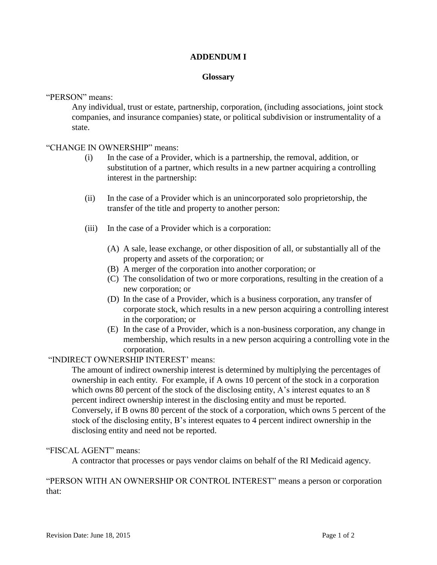## **ADDENDUM I**

#### **Glossary**

"PERSON" means:

Any individual, trust or estate, partnership, corporation, (including associations, joint stock companies, and insurance companies) state, or political subdivision or instrumentality of a state.

### "CHANGE IN OWNERSHIP" means:

- (i) In the case of a Provider, which is a partnership, the removal, addition, or substitution of a partner, which results in a new partner acquiring a controlling interest in the partnership:
- (ii) In the case of a Provider which is an unincorporated solo proprietorship, the transfer of the title and property to another person:
- (iii) In the case of a Provider which is a corporation:
	- (A) A sale, lease exchange, or other disposition of all, or substantially all of the property and assets of the corporation; or
	- (B) A merger of the corporation into another corporation; or
	- (C) The consolidation of two or more corporations, resulting in the creation of a new corporation; or
	- (D) In the case of a Provider, which is a business corporation, any transfer of corporate stock, which results in a new person acquiring a controlling interest in the corporation; or
	- (E) In the case of a Provider, which is a non-business corporation, any change in membership, which results in a new person acquiring a controlling vote in the corporation.

### "INDIRECT OWNERSHIP INTEREST' means:

The amount of indirect ownership interest is determined by multiplying the percentages of ownership in each entity. For example, if A owns 10 percent of the stock in a corporation which owns 80 percent of the stock of the disclosing entity, A's interest equates to an 8 percent indirect ownership interest in the disclosing entity and must be reported. Conversely, if B owns 80 percent of the stock of a corporation, which owns 5 percent of the stock of the disclosing entity, B's interest equates to 4 percent indirect ownership in the disclosing entity and need not be reported.

### "FISCAL AGENT" means:

A contractor that processes or pays vendor claims on behalf of the RI Medicaid agency.

"PERSON WITH AN OWNERSHIP OR CONTROL INTEREST" means a person or corporation that: